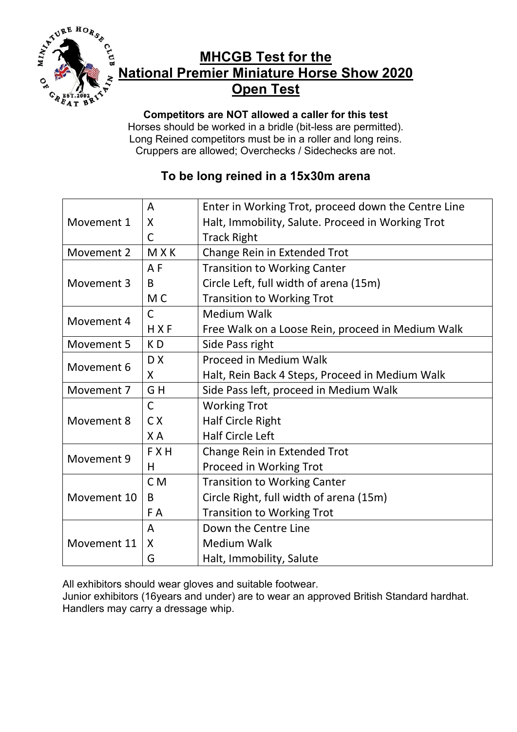

## **MHCGB Test for the National Premier Miniature Horse Show 2020 Open Test**

**Competitors are NOT allowed a caller for this test** Horses should be worked in a bridle (bit-less are permitted). Long Reined competitors must be in a roller and long reins. Cruppers are allowed; Overchecks / Sidechecks are not.

## **To be long reined in a 15x30m arena**

| Movement 1  | A              | Enter in Working Trot, proceed down the Centre Line |
|-------------|----------------|-----------------------------------------------------|
|             | X              | Halt, Immobility, Salute. Proceed in Working Trot   |
|             | C              | <b>Track Right</b>                                  |
| Movement 2  | <b>MXK</b>     | Change Rein in Extended Trot                        |
| Movement 3  | A <sub>F</sub> | <b>Transition to Working Canter</b>                 |
|             | B              | Circle Left, full width of arena (15m)              |
|             | M <sub>C</sub> | <b>Transition to Working Trot</b>                   |
| Movement 4  | C              | <b>Medium Walk</b>                                  |
|             | HXF            | Free Walk on a Loose Rein, proceed in Medium Walk   |
| Movement 5  | KD             | Side Pass right                                     |
| Movement 6  | DX             | Proceed in Medium Walk                              |
|             | X              | Halt, Rein Back 4 Steps, Proceed in Medium Walk     |
| Movement 7  | GH             | Side Pass left, proceed in Medium Walk              |
| Movement 8  | $\overline{C}$ | <b>Working Trot</b>                                 |
|             | C X            | <b>Half Circle Right</b>                            |
|             | X A            | <b>Half Circle Left</b>                             |
| Movement 9  | <b>FXH</b>     | Change Rein in Extended Trot                        |
|             | н              | Proceed in Working Trot                             |
| Movement 10 | C <sub>M</sub> | <b>Transition to Working Canter</b>                 |
|             | B              | Circle Right, full width of arena (15m)             |
|             | F A            | <b>Transition to Working Trot</b>                   |
| Movement 11 | A              | Down the Centre Line                                |
|             | X              | <b>Medium Walk</b>                                  |
|             | G              | Halt, Immobility, Salute                            |

All exhibitors should wear gloves and suitable footwear.

Junior exhibitors (16years and under) are to wear an approved British Standard hardhat. Handlers may carry a dressage whip.